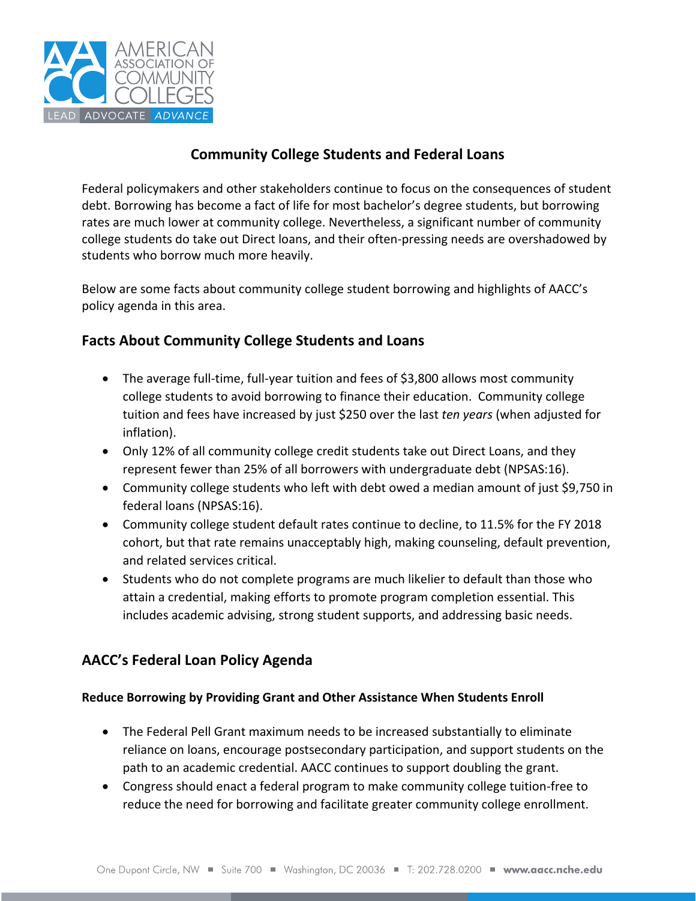

# **Community College Students and Federal Loans**

Federal policymakers and other stakeholders continue to focus on the consequences of student debt. Borrowing has become a fact of life for most bachelor's degree students, but borrowing rates are much lower at community college. Nevertheless, a significant number of community college students do take out Direct loans, and their often‐pressing needs are overshadowed by students who borrow much more heavily.

Below are some facts about community college student borrowing and highlights of AACC's policy agenda in this area.

# **Facts About Community College Students and Loans**

- The average full-time, full-year tuition and fees of \$3,800 allows most community college students to avoid borrowing to finance their education. Community college tuition and fees have increased by just \$250 over the last *ten years* (when adjusted for inflation).
- Only 12% of all community college credit students take out Direct Loans, and they represent fewer than 25% of all borrowers with undergraduate debt (NPSAS:16).
- Community college students who left with debt owed a median amount of just \$9,750 in federal loans (NPSAS:16).
- Community college student default rates continue to decline, to 11.5% for the FY 2018 cohort, but that rate remains unacceptably high, making counseling, default prevention, and related services critical.
- Students who do not complete programs are much likelier to default than those who attain a credential, making efforts to promote program completion essential. This includes academic advising, strong student supports, and addressing basic needs.

# **AACC's Federal Loan Policy Agenda**

## **Reduce Borrowing by Providing Grant and Other Assistance When Students Enroll**

- The Federal Pell Grant maximum needs to be increased substantially to eliminate reliance on loans, encourage postsecondary participation, and support students on the path to an academic credential. AACC continues to support doubling the grant.
- Congress should enact a federal program to make community college tuition‐free to reduce the need for borrowing and facilitate greater community college enrollment.